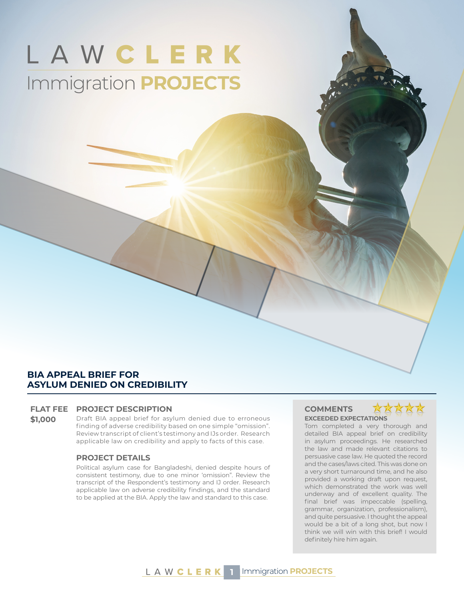# LAWCLERK Immigration **PROJECTS**

# **BIA APPEAL BRIEF FOR ASYLUM DENIED ON CREDIBILITY**

#### **FLAT FEE PROJECT DESCRIPTION COMMENTS**

**\$1,000** Draft BIA appeal brief for asylum denied due to erroneous finding of adverse credibility based on one simple "omission". Review transcript of client's testimony and IJs order. Research applicable law on credibility and apply to facts of this case.

#### **PROJECT DETAILS**

Political asylum case for Bangladeshi, denied despite hours of consistent testimony, due to one minor 'omission". Review the transcript of the Respondent's testimony and IJ order. Research applicable law on adverse credibility findings, and the standard to be applied at the BIA. Apply the law and standard to this case.

# **EXCEEDED EXPECTATIONS**



Tom completed a very thorough and detailed BIA appeal brief on credibility in asylum proceedings. He researched the law and made relevant citations to persuasive case law. He quoted the record and the cases/laws cited. This was done on a very short turnaround time, and he also provided a working draft upon request, which demonstrated the work was well underway and of excellent quality. The final brief was impeccable (spelling, grammar, organization, professionalism), and quite persuasive. I thought the appeal would be a bit of a long shot, but now I think we will win with this brief! I would definitely hire him again.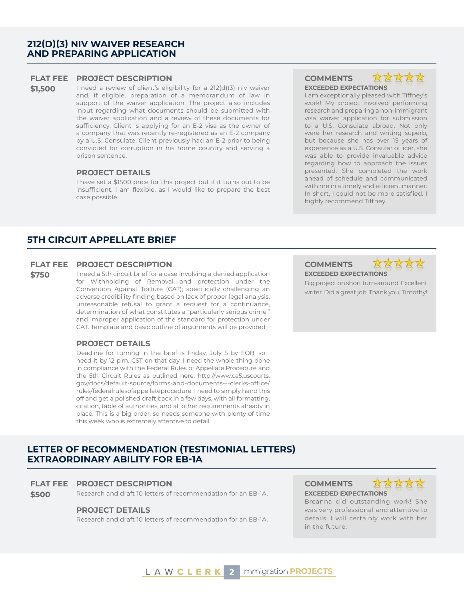# **212(D)(3) NIV WAIVER RESEARCH AND PREPARING APPLICATION**

#### **FLAT FEE PROJECT DESCRIPTION COMMENTS**

\$1,500 I need a review of client's eligibility for a 212(d)(3) niv waiver and, if eligible, preparation of a memorandum of law in support of the waiver application. The project also includes input regarding what documents should be submitted with the waiver application and a review of these documents for sufficiency. Client is applying for an E-2 visa as the owner of a company that was recently re-registered as an E-2 company by a U.S. Consulate. Client previously had an E-2 prior to being convicted for corruption in his home country and serving a prison sentence.

#### **PROJECT DETAILS**

I have set a \$1500 price for this project but if it turns out to be insufficient, I am flexible, as I would like to prepare the best case possible.

### **5TH CIRCUIT APPELLATE BRIEF**

#### **FLAT FEE PROJECT DESCRIPTION COMMENTS**

**\$750** I need a 5th circuit brief for a case involving a denied application for Withholding of Removal and protection under the Convention Against Torture (CAT); specifically challenging an adverse credibility finding based on lack of proper legal analysis, unreasonable refusal to grant a request for a continuance, determination of what constitutes a "particularly serious crime," and improper application of the standard for protection under CAT. Template and basic outline of arguments will be provided.

#### **PROJECT DETAILS**

Deadline for turning in the brief is Friday, July 5 by EOB, so I need it by 12 p.m. CST on that day. I need the whole thing done in compliance with the Federal Rules of Appellate Procedure and the 5th Circuit Rules as outlined here: http://www.ca5.uscourts. gov/docs/default-source/forms-and-documents---clerks-office/ rules/federalrulesofappellateprocedure. I need to simply hand this off and get a polished draft back in a few days, with all formatting, citation, table of authorities, and all other requirements already in place. This is a big order, so needs someone with plenty of time this week who is extremely attentive to detail.

# **LETTER OF RECOMMENDATION (TESTIMONIAL LETTERS) EXTRAORDINARY ABILITY FOR EB-1A**

#### **FLAT FEE PROJECT DESCRIPTION COMMENTS**

**\$500** Research and draft 10 letters of recommendation for an EB-1A. **EXCEEDED EXPECTATIONS**

#### **PROJECT DETAILS**

Research and draft 10 letters of recommendation for an EB-1A.

# **EXCEEDED EXPECTATIONS**



I am exceptionally pleased with Tiffney's work! My project involved performing research and preparing a non-immigrant visa waiver application for submission to a U.S. Consulate abroad. Not only were her research and writing superb, but because she has over 15 years of experience as a U.S. Consular officer, she was able to provide invaluable advice regarding how to approach the issues presented. She completed the work ahead of schedule and communicated with me in a timely and efficient manner. In short, I could not be more satisfied. I highly recommend Tiffney.

# **EXCEEDED EXPECTATIONS**



Big project on short turn-around. Excellent writer. Did a great job. Thank you, Timothy!



Breanna did outstanding work! She was very professional and attentive to details. I will certainly work with her in the future.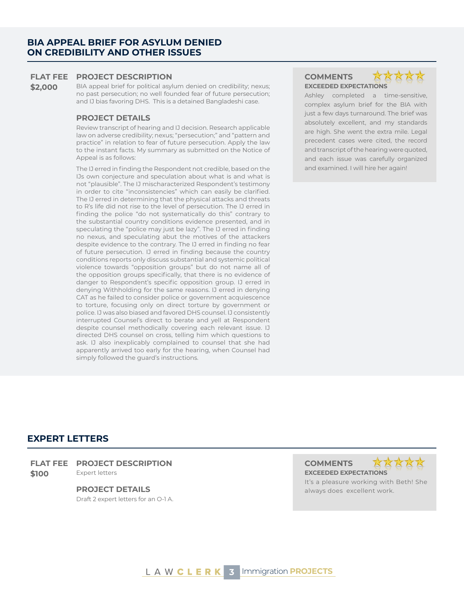\$2,000 BIA appeal brief for political asylum denied on credibility; nexus; no past persecution; no well founded fear of future persecution; and IJ bias favoring DHS. This is a detained Bangladeshi case.

#### **PROJECT DETAILS**

Review transcript of hearing and IJ decision. Research applicable law on adverse credibility; nexus; "persecution;" and "pattern and practice" in relation to fear of future persecution. Apply the law to the instant facts. My summary as submitted on the Notice of Appeal is as follows:

The IJ erred in finding the Respondent not credible, based on the IJs own conjecture and speculation about what is and what is not "plausible". The IJ mischaracterized Respondent's testimony in order to cite "inconsistencies" which can easily be clarified. The IJ erred in determining that the physical attacks and threats to R's life did not rise to the level of persecution. The IJ erred in finding the police "do not systematically do this" contrary to the substantial country conditions evidence presented, and in speculating the "police may just be lazy". The IJ erred in finding no nexus, and speculating abut the motives of the attackers despite evidence to the contrary. The IJ erred in finding no fear of future persecution. IJ erred in finding because the country conditions reports only discuss substantial and systemic political violence towards "opposition groups" but do not name all of the opposition groups specifically, that there is no evidence of danger to Respondent's specific opposition group. IJ erred in denying Withholding for the same reasons. IJ erred in denying CAT as he failed to consider police or government acquiescence to torture, focusing only on direct torture by government or police. IJ was also biased and favored DHS counsel. IJ consistently interrupted Counsel's direct to berate and yell at Respondent despite counsel methodically covering each relevant issue. IJ directed DHS counsel on cross, telling him which questions to ask. IJ also inexplicably complained to counsel that she had apparently arrived too early for the hearing, when Counsel had simply followed the guard's instructions.

# **EXCEEDED EXPECTATIONS**



Ashley completed a time-sensitive, complex asylum brief for the BIA with just a few days turnaround. The brief was absolutely excellent, and my standards are high. She went the extra mile. Legal precedent cases were cited, the record and transcript of the hearing were quoted, and each issue was carefully organized and examined. I will hire her again!

# **EXPERT LETTERS**

#### **FLAT FEE PROJECT DESCRIPTION COMMENTS**

**\$100** Expert letters **EXCEEDED EXPECTATIONS** 

Draft 2 expert letters for an O-1 A.



It's a pleasure working with Beth! She **PROJECT DETAILS Always does excellent work.** The state of the state of the state of the state of the state of the state of the state of the state of the state of the state of the state of the state of the state of the s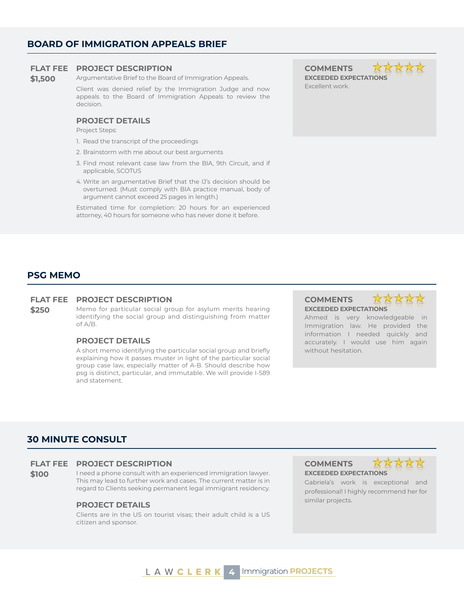# **BOARD OF IMMIGRATION APPEALS BRIEF**

#### **FLAT FEE PROJECT DESCRIPTION COMMENTS**

# **\$1,500** Argumentative Brief to the Board of Immigration Appeals.

Client was denied relief by the Immigration Judge and now appeals to the Board of Immigration Appeals to review the decision.

### **PROJECT DETAILS**

Project Steps:

- 1. Read the transcript of the proceedings
- 2. Brainstorm with me about our best arguments
- 3. Find most relevant case law from the BIA, 9th Circuit, and if applicable, SCOTUS
- 4. Write an argumentative Brief that the IJ's decision should be overturned. (Must comply with BIA practice manual, body of argument cannot exceed 25 pages in length.)

Estimated time for completion: 20 hours for an experienced attorney, 40 hours for someone who has never done it before.

# **EXCEEDED EXPECTATIONS** Excellent work.

# **PSG MEMO**

#### **FLAT FEE PROJECT DESCRIPTION COMMENTS**

**\$250** Memo for particular social group for asylum merits hearing identifying the social group and distinguishing from matter of A/B.

### **PROJECT DETAILS**

A short memo identifying the particular social group and briefly explaining how it passes muster in light of the particular social group case law, especially matter of A-B. Should describe how psg is distinct, particular, and immutable. We will provide I-589 and statement.

**EXCEEDED EXPECTATIONS**

Ahmed is very knowledgeable in Immigration law. He provided the information I needed quickly and accurately. I would use him again without hesitation.

# **30 MINUTE CONSULT**

#### **FLAT FEE PROJECT DESCRIPTION COMMENTS**

**\$100** I need a phone consult with an experienced immigration lawyer. This may lead to further work and cases. The current matter is in regard to Clients seeking permanent legal immigrant residency.

# similar projects. **PROJECT DETAILS**

Clients are in the US on tourist visas; their adult child is a US citizen and sponsor.

**EXCEEDED EXPECTATIONS** Gabriela's work is exceptional and professional! I highly recommend her for

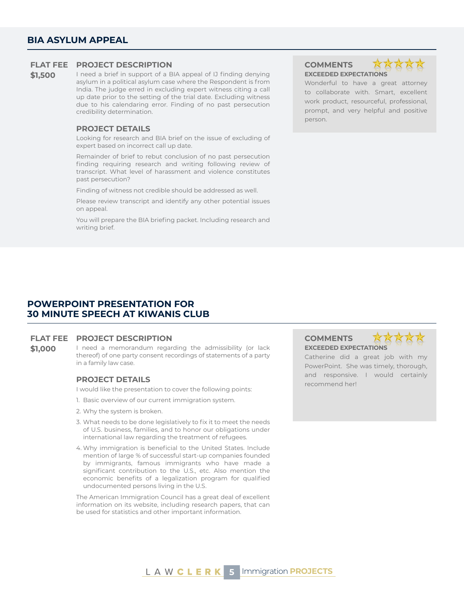**\$1,500** I need a brief in support of a BIA appeal of IJ finding denying asylum in a political asylum case where the Respondent is from India. The judge erred in excluding expert witness citing a call up date prior to the setting of the trial date. Excluding witness due to his calendaring error. Finding of no past persecution credibility determination.

#### **PROJECT DETAILS**

Looking for research and BIA brief on the issue of excluding of expert based on incorrect call up date.

Remainder of brief to rebut conclusion of no past persecution finding requiring research and writing following review of transcript. What level of harassment and violence constitutes past persecution?

Finding of witness not credible should be addressed as well.

Please review transcript and identify any other potential issues on appeal.

You will prepare the BIA briefing packet. Including research and writing brief.

# **EXCEEDED EXPECTATIONS**



Wonderful to have a great attorney to collaborate with. Smart, excellent work product, resourceful, professional, prompt, and very helpful and positive person.

## **POWERPOINT PRESENTATION FOR 30 MINUTE SPEECH AT KIWANIS CLUB**

### **FLAT FEE PROJECT DESCRIPTION COMMENTS**

**\$1,000** I need a memorandum regarding the admissibility (or lack thereof) of one party consent recordings of statements of a party in a family law case.

I would like the presentation to cover the following points:

- 1. Basic overview of our current immigration system.
- 2. Why the system is broken.
- 3. What needs to be done legislatively to fix it to meet the needs of U.S. business, families, and to honor our obligations under international law regarding the treatment of refugees.
- 4. Why immigration is beneficial to the United States. Include mention of large % of successful start-up companies founded by immigrants, famous immigrants who have made a significant contribution to the U.S., etc. Also mention the economic benefits of a legalization program for qualified undocumented persons living in the U.S.

The American Immigration Council has a great deal of excellent information on its website, including research papers, that can be used for statistics and other important information.

# **EXCEEDED EXPECTATIONS**



Catherine did a great job with my PowerPoint. She was timely, thorough, and responsive. I would certainly **PROJECT DETAILS**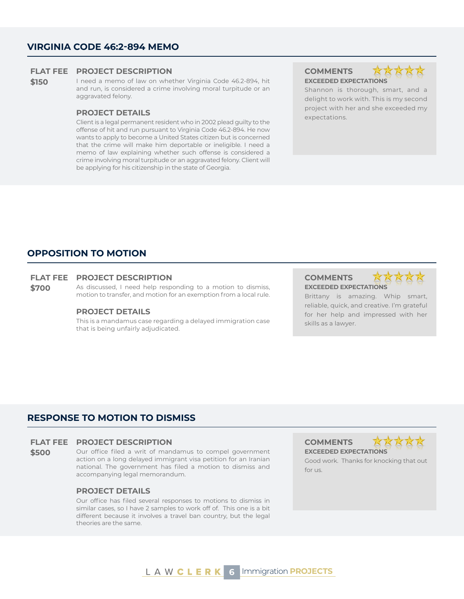### **VIRGINIA CODE 46:2-894 MEMO**

#### **FLAT FEE PROJECT DESCRIPTION COMMENTS**

**\$150** I need a memo of law on whether Virginia Code 46.2-894, hit and run, is considered a crime involving moral turpitude or an aggravated felony.

# expectations. **PROJECT DETAILS**

Client is a legal permanent resident who in 2002 plead guilty to the offense of hit and run pursuant to Virginia Code 46.2-894. He now wants to apply to become a United States citizen but is concerned that the crime will make him deportable or ineligible. I need a memo of law explaining whether such offense is considered a crime involving moral turpitude or an aggravated felony. Client will be applying for his citizenship in the state of Georgia.

# **EXCEEDED EXPECTATIONS**



Shannon is thorough, smart, and a delight to work with. This is my second project with her and she exceeded my

## **OPPOSITION TO MOTION**

#### **FLAT FEE PROJECT DESCRIPTION COMMENTS**

**\$700** As discussed, I need help responding to a motion to dismiss, motion to transfer, and motion for an exemption from a local rule.

#### **PROJECT DETAILS**

This is a mandamus case regarding a delayed immigration case that is being unfairly adjudicated.

**EXCEEDED EXPECTATIONS**



Brittany is amazing. Whip smart, reliable, quick, and creative. I'm grateful for her help and impressed with her skills as a lawyer.

## **RESPONSE TO MOTION TO DISMISS**

#### **FLAT FEE PROJECT DESCRIPTION COMMENTS**

**\$500** Our office filed a writ of mandamus to compel government action on a long delayed immigrant visa petition for an Iranian national. The government has filed a motion to dismiss and accompanying legal memorandum.

#### **PROJECT DETAILS**

Our office has filed several responses to motions to dismiss in similar cases, so I have 2 samples to work off of. This one is a bit different because it involves a travel ban country, but the legal theories are the same.

**EXCEEDED EXPECTATIONS**



Good work. Thanks for knocking that out for us.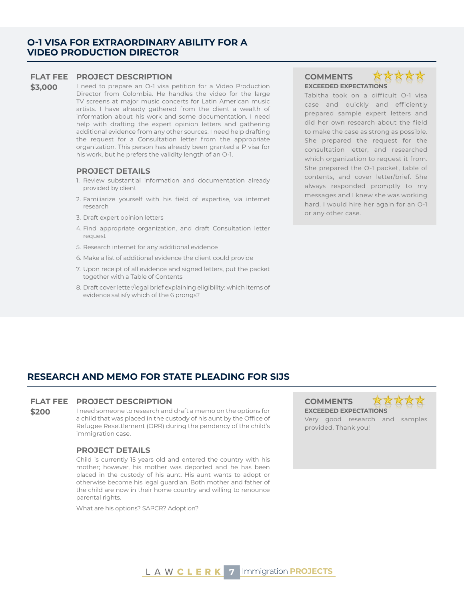### **O-1 VISA FOR EXTRAORDINARY ABILITY FOR A VIDEO PRODUCTION DIRECTOR**

#### **FLAT FEE PROJECT DESCRIPTION COMMENTS**

\$3,000 I need to prepare an O-1 visa petition for a Video Production Director from Colombia. He handles the video for the large TV screens at major music concerts for Latin American music artists. I have already gathered from the client a wealth of information about his work and some documentation. I need help with drafting the expert opinion letters and gathering additional evidence from any other sources. I need help drafting the request for a Consultation letter from the appropriate organization. This person has already been granted a P visa for his work, but he prefers the validity length of an O-1.

#### **PROJECT DETAILS**

- 1. Review substantial information and documentation already provided by client
- 2. Familiarize yourself with his field of expertise, via internet research
- 3. Draft expert opinion letters
- 4. Find appropriate organization, and draft Consultation letter request
- 5. Research internet for any additional evidence
- 6. Make a list of additional evidence the client could provide
- 7. Upon receipt of all evidence and signed letters, put the packet together with a Table of Contents
- 8. Draft cover letter/legal brief explaining eligibility: which items of evidence satisfy which of the 6 prongs?

# **EXCEEDED EXPECTATIONS**



Tabitha took on a difficult O-1 visa case and quickly and efficiently prepared sample expert letters and did her own research about the field to make the case as strong as possible. She prepared the request for the consultation letter, and researched which organization to request it from. She prepared the O-1 packet, table of contents, and cover letter/brief. She always responded promptly to my messages and I knew she was working hard. I would hire her again for an O-1 or any other case.

# **RESEARCH AND MEMO FOR STATE PLEADING FOR SIJS**

#### **FLAT FEE PROJECT DESCRIPTION COMMENTS**

**\$200** I need someone to research and draft a memo on the options for a child that was placed in the custody of his aunt by the Office of Refugee Resettlement (ORR) during the pendency of the child's immigration case.

#### **PROJECT DETAILS**

Child is currently 15 years old and entered the country with his mother; however, his mother was deported and he has been placed in the custody of his aunt. His aunt wants to adopt or otherwise become his legal guardian. Both mother and father of the child are now in their home country and willing to renounce parental rights.

What are his options? SAPCR? Adoption?

**EXCEEDED EXPECTATIONS** Very good research and samples provided. Thank you!

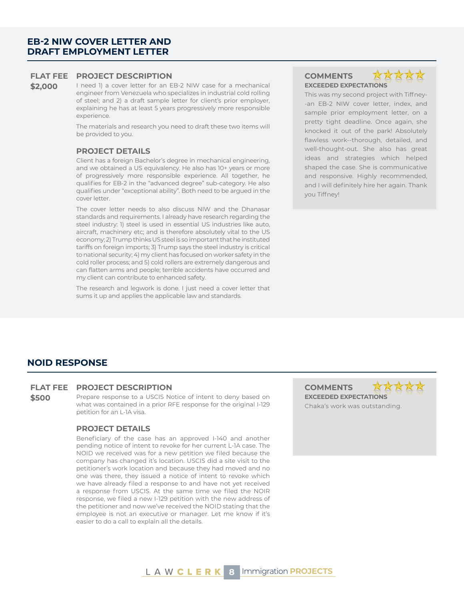# **EB-2 NIW COVER LETTER AND DRAFT EMPLOYMENT LETTER**

#### **FLAT FEE PROJECT DESCRIPTION COMMENTS**

\$2,000 I need 1) a cover letter for an EB-2 NIW case for a mechanical engineer from Venezuela who specializes in industrial cold rolling of steel; and 2) a draft sample letter for client's prior employer, explaining he has at least 5 years progressively more responsible experience.

> The materials and research you need to draft these two items will be provided to you.

#### **PROJECT DETAILS**

Client has a foreign Bachelor's degree in mechanical engineering, and we obtained a US equivalency. He also has 10+ years or more of progressively more responsible experience. All together, he qualifies for EB-2 in the "advanced degree" sub-category. He also qualifies under "exceptional ability". Both need to be argued in the cover letter.

The cover letter needs to also discuss NIW and the Dhanasar standards and requirements. I already have research regarding the steel industry: 1) steel is used in essential US industries like auto, aircraft, machinery etc; and is therefore absolutely vital to the US economy; 2) Trump thinks US steel is so important that he instituted tariffs on foreign imports; 3) Trump says the steel industry is critical to national security; 4) my client has focused on worker safety in the cold roller process; and 5) cold rollers are extremely dangerous and can flatten arms and people; terrible accidents have occurred and my client can contribute to enhanced safety.

The research and legwork is done. I just need a cover letter that sums it up and applies the applicable law and standards.

# **EXCEEDED EXPECTATIONS**



This was my second project with Tiffney- -an EB-2 NIW cover letter, index, and sample prior employment letter, on a pretty tight deadline. Once again, she knocked it out of the park! Absolutely flawless work--thorough, detailed, and well-thought-out. She also has great ideas and strategies which helped shaped the case. She is communicative and responsive. Highly recommended, and I will definitely hire her again. Thank you Tiffney!

# **NOID RESPONSE**

#### **FLAT FEE PROJECT DESCRIPTION COMMENTS**

**\$500** Prepare response to a USCIS Notice of intent to deny based on what was contained in a prior RFE response for the original I-129 petition for an L-1A visa.

#### **PROJECT DETAILS**

Beneficiary of the case has an approved I-140 and another pending notice of intent to revoke for her current L-1A case. The NOID we received was for a new petition we filed because the company has changed it's location. USCIS did a site visit to the petitioner's work location and because they had moved and no one was there, they issued a notice of intent to revoke which we have already filed a response to and have not yet received a response from USCIS. At the same time we filed the NOIR response, we filed a new I-129 petition with the new address of the petitioner and now we've received the NOID stating that the employee is not an executive or manager. Let me know if it's easier to do a call to explain all the details.

**EXCEEDED EXPECTATIONS** Chaka's work was outstanding.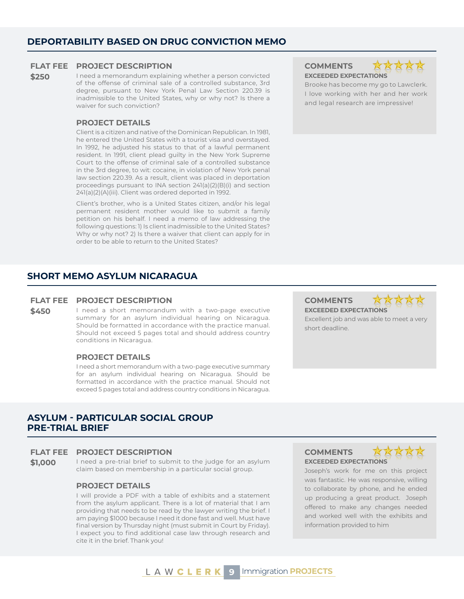# **DEPORTABILITY BASED ON DRUG CONVICTION MEMO**

#### **FLAT FEE PROJECT DESCRIPTION COMMENTS**

**\$250** I need a memorandum explaining whether a person convicted of the offense of criminal sale of a controlled substance, 3rd degree, pursuant to New York Penal Law Section 220.39 is inadmissible to the United States, why or why not? Is there a waiver for such conviction?

#### **PROJECT DETAILS**

Client is a citizen and native of the Dominican Republican. In 1981, he entered the United States with a tourist visa and overstayed. In 1992, he adjusted his status to that of a lawful permanent resident. In 1991, client plead guilty in the New York Supreme Court to the offense of criminal sale of a controlled substance in the 3rd degree, to wit: cocaine, in violation of New York penal law section 220.39. As a result, client was placed in deportation proceedings pursuant to INA section 241(a)(2)(B)(i) and section 241(a)(2)(A)(iii). Client was ordered deported in 1992.

Client's brother, who is a United States citizen, and/or his legal permanent resident mother would like to submit a family petition on his behalf. I need a memo of law addressing the following questions: 1) Is client inadmissible to the United States? Why or why not? 2) Is there a waiver that client can apply for in order to be able to return to the United States?

## **SHORT MEMO ASYLUM NICARAGUA**

#### **FLAT FEE PROJECT DESCRIPTION COMMENTS**

**\$450** I need a short memorandum with a two-page executive summary for an asylum individual hearing on Nicaragua. Should be formatted in accordance with the practice manual. Should not exceed 5 pages total and should address country conditions in Nicaragua.

#### **PROJECT DETAILS**

I need a short memorandum with a two-page executive summary for an asylum individual hearing on Nicaragua. Should be formatted in accordance with the practice manual. Should not exceed 5 pages total and address country conditions in Nicaragua.

## **ASYLUM - PARTICULAR SOCIAL GROUP PRE-TRIAL BRIEF**

### **FLAT FEE PROJECT DESCRIPTION COMMENTS**

**\$1,000** I need a pre-trial brief to submit to the judge for an asylum claim based on membership in a particular social group.

### **PROJECT DETAILS**

I will provide a PDF with a table of exhibits and a statement from the asylum applicant. There is a lot of material that I am providing that needs to be read by the lawyer writing the brief. I am paying \$1000 because I need it done fast and well. Must have final version by Thursday night (must submit in Court by Friday). I expect you to find additional case law through research and cite it in the brief. Thank you!

# **EXCEEDED EXPECTATIONS**



Brooke has become my go to Lawclerk. I love working with her and her work and legal research are impressive!

# **EXCEEDED EXPECTATIONS**

**EXCEEDED EXPECTATIONS**

short deadline.

Excellent job and was able to meet a very



XXXXX

Joseph's work for me on this project was fantastic. He was responsive, willing to collaborate by phone, and he ended up producing a great product. Joseph offered to make any changes needed and worked well with the exhibits and information provided to him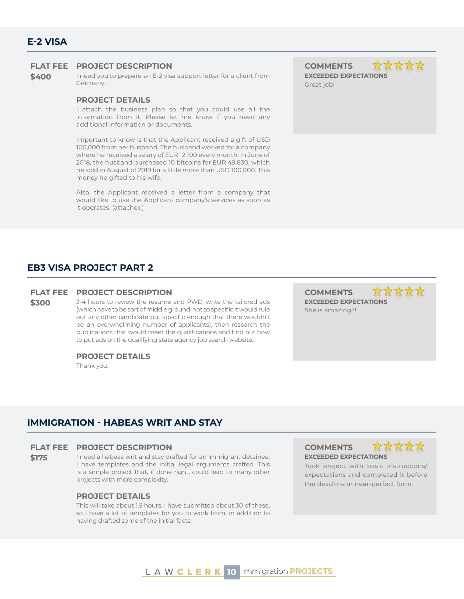**\$400** I need you to prepare an E-2 visa support letter for a client from Germany.

#### **PROJECT DETAILS**

I attach the business plan so that you could use all the information from it. Please let me know if you need any additional information or documents.

Important to know is that the Applicant received a gift of USD 100,000 from her husband. The husband worked for a company where he received a salary of EUR 12,100 every month. In June of 2018, the husband purchased 10 bitcoins for EUR 49,830, which he sold in August of 2019 for a little more than USD 100,000. This money he gifted to his wife.

Also, the Applicant received a letter from a company that would like to use the Applicant company's services as soon as it operates. (attached)

**EXCEEDED EXPECTATIONS** Great job!

# **EB3 VISA PROJECT PART 2**

#### **FLAT FEE PROJECT DESCRIPTION COMMENTS**

**\$300** 3-4 hours to review the resume and PWD, write the tailored ads (which have to be sort of middle ground, not so specific it would rule out any other candidate but specific enough that there wouldn't be an overwhelming number of applicants), then research the publications that would meet the qualifications and find out how to put ads on the qualifying state agency job search website.

#### **PROJECT DETAILS**

Thank you.

**EXCEEDED EXPECTATIONS** She is amazing!!!

# **IMMIGRATION - HABEAS WRIT AND STAY**

#### **FLAT FEE PROJECT DESCRIPTION COMMENTS**

**\$175** I need a habeas writ and stay drafted for an immigrant detainee. I have templates and the initial legal arguments crafted. This is a simple project that, if done right, could lead to many other projects with more complexity.

#### **PROJECT DETAILS**

This will take about 1.5 hours. I have submitted about 30 of these, so I have a lot of templates for you to work from, in addition to having drafted some of the initial facts.

**EXCEEDED EXPECTATIONS**



Took project with basic instructions/ expectations and completed it before the deadline in near-perfect form.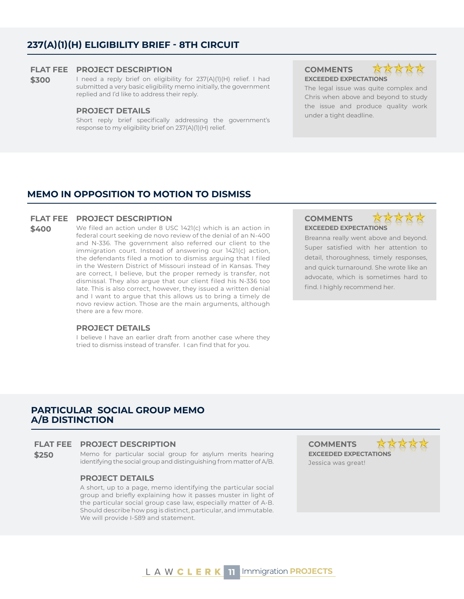# **237(A)(1)(H) ELIGIBILITY BRIEF - 8TH CIRCUIT**

#### **FLAT FEE PROJECT DESCRIPTION COMMENTS**

\$300 I need a reply brief on eligibility for 237(A)(1)(H) relief. I had submitted a very basic eligibility memo initially, the government replied and I'd like to address their reply.

under a tight deadline. **PROJECT DETAILS** Short reply brief specifically addressing the government's response to my eligibility brief on 237(A)(1)(H) relief.

**EXCEEDED EXPECTATIONS**



The legal issue was quite complex and Chris when above and beyond to study the issue and produce quality work

### **MEMO IN OPPOSITION TO MOTION TO DISMISS**

#### **FLAT FEE PROJECT DESCRIPTION COMMENTS**

**\$400** We filed an action under 8 USC 1421(c) which is an action in federal court seeking de novo review of the denial of an N-400 and N-336. The government also referred our client to the immigration court. Instead of answering our 1421(c) action, the defendants filed a motion to dismiss arguing that I filed in the Western District of Missouri instead of in Kansas. They are correct, I believe, but the proper remedy is transfer, not dismissal. They also argue that our client filed his N-336 too late. This is also correct, however, they issued a written denial and I want to argue that this allows us to bring a timely de novo review action. Those are the main arguments, although there are a few more.

#### **PROJECT DETAILS**

I believe I have an earlier draft from another case where they tried to dismiss instead of transfer. I can find that for you.

# **EXCEEDED EXPECTATIONS**



Breanna really went above and beyond. Super satisfied with her attention to detail, thoroughness, timely responses, and quick turnaround. She wrote like an advocate, which is sometimes hard to find. I highly recommend her.

### **PARTICULAR SOCIAL GROUP MEMO A/B DISTINCTION**

#### **FLAT FEE PROJECT DESCRIPTION COMMENTS**

**\$250** Memo for particular social group for asylum merits hearing identifying the social group and distinguishing from matter of A/B.

### **PROJECT DETAILS**

A short, up to a page, memo identifying the particular social group and briefly explaining how it passes muster in light of the particular social group case law, especially matter of A-B. Should describe how psg is distinct, particular, and immutable. We will provide I-589 and statement.

**EXCEEDED EXPECTATIONS** Jessica was great!